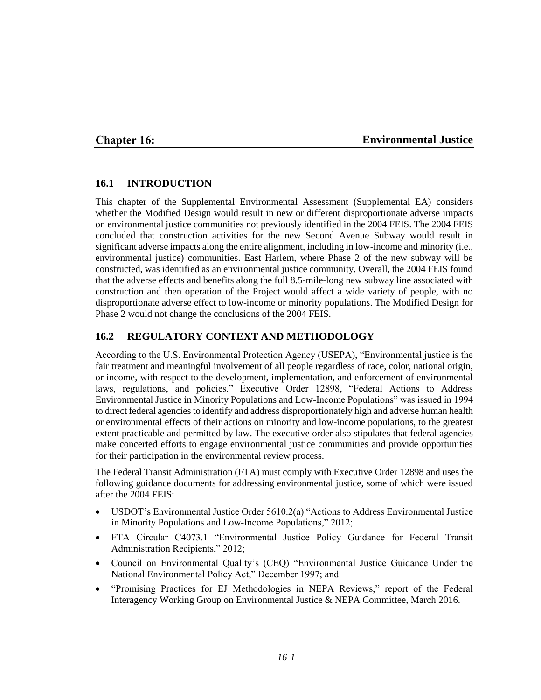### **Chapter 16:**

### **Environmental Justice**

### **16.1 INTRODUCTION**

This chapter of the Supplemental Environmental Assessment (Supplemental EA) considers whether the Modified Design would result in new or different disproportionate adverse impacts on environmental justice communities not previously identified in the 2004 FEIS. The 2004 FEIS concluded that construction activities for the new Second Avenue Subway would result in significant adverse impacts along the entire alignment, including in low-income and minority (i.e., environmental justice) communities. East Harlem, where Phase 2 of the new subway will be constructed, was identified as an environmental justice community. Overall, the 2004 FEIS found that the adverse effects and benefits along the full 8.5-mile-long new subway line associated with construction and then operation of the Project would affect a wide variety of people, with no disproportionate adverse effect to low-income or minority populations. The Modified Design for Phase 2 would not change the conclusions of the 2004 FEIS.

### **16.2 REGULATORY CONTEXT AND METHODOLOGY**

According to the U.S. Environmental Protection Agency (USEPA), "Environmental justice is the fair treatment and meaningful involvement of all people regardless of race, color, national origin, or income, with respect to the development, implementation, and enforcement of environmental laws, regulations, and policies." Executive Order 12898, "Federal Actions to Address Environmental Justice in Minority Populations and Low-Income Populations" was issued in 1994 to direct federal agencies to identify and address disproportionately high and adverse human health or environmental effects of their actions on minority and low-income populations, to the greatest extent practicable and permitted by law. The executive order also stipulates that federal agencies make concerted efforts to engage environmental justice communities and provide opportunities for their participation in the environmental review process.

The Federal Transit Administration (FTA) must comply with Executive Order 12898 and uses the following guidance documents for addressing environmental justice, some of which were issued after the 2004 FEIS:

- USDOT's Environmental Justice Order 5610.2(a) "Actions to Address Environmental Justice in Minority Populations and Low-Income Populations," 2012;
- FTA Circular C4073.1 "Environmental Justice Policy Guidance for Federal Transit Administration Recipients," 2012;
- Council on Environmental Quality's (CEQ) "Environmental Justice Guidance Under the National Environmental Policy Act," December 1997; and
- "Promising Practices for EJ Methodologies in NEPA Reviews," report of the Federal Interagency Working Group on Environmental Justice & NEPA Committee, March 2016.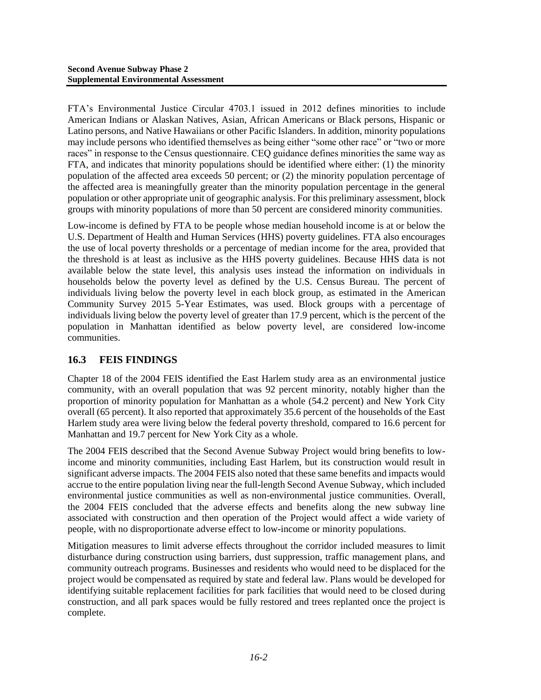FTA's Environmental Justice Circular 4703.1 issued in 2012 defines minorities to include American Indians or Alaskan Natives, Asian, African Americans or Black persons, Hispanic or Latino persons, and Native Hawaiians or other Pacific Islanders. In addition, minority populations may include persons who identified themselves as being either "some other race" or "two or more races" in response to the Census questionnaire. CEQ guidance defines minorities the same way as FTA, and indicates that minority populations should be identified where either: (1) the minority population of the affected area exceeds 50 percent; or (2) the minority population percentage of the affected area is meaningfully greater than the minority population percentage in the general population or other appropriate unit of geographic analysis. For this preliminary assessment, block groups with minority populations of more than 50 percent are considered minority communities.

Low-income is defined by FTA to be people whose median household income is at or below the U.S. Department of Health and Human Services (HHS) poverty guidelines. FTA also encourages the use of local poverty thresholds or a percentage of median income for the area, provided that the threshold is at least as inclusive as the HHS poverty guidelines. Because HHS data is not available below the state level, this analysis uses instead the information on individuals in households below the poverty level as defined by the U.S. Census Bureau. The percent of individuals living below the poverty level in each block group, as estimated in the American Community Survey 2015 5-Year Estimates, was used. Block groups with a percentage of individuals living below the poverty level of greater than 17.9 percent, which is the percent of the population in Manhattan identified as below poverty level, are considered low-income communities.

# **16.3 FEIS FINDINGS**

Chapter 18 of the 2004 FEIS identified the East Harlem study area as an environmental justice community, with an overall population that was 92 percent minority, notably higher than the proportion of minority population for Manhattan as a whole (54.2 percent) and New York City overall (65 percent). It also reported that approximately 35.6 percent of the households of the East Harlem study area were living below the federal poverty threshold, compared to 16.6 percent for Manhattan and 19.7 percent for New York City as a whole.

The 2004 FEIS described that the Second Avenue Subway Project would bring benefits to lowincome and minority communities, including East Harlem, but its construction would result in significant adverse impacts. The 2004 FEIS also noted that these same benefits and impacts would accrue to the entire population living near the full-length Second Avenue Subway, which included environmental justice communities as well as non-environmental justice communities. Overall, the 2004 FEIS concluded that the adverse effects and benefits along the new subway line associated with construction and then operation of the Project would affect a wide variety of people, with no disproportionate adverse effect to low-income or minority populations.

Mitigation measures to limit adverse effects throughout the corridor included measures to limit disturbance during construction using barriers, dust suppression, traffic management plans, and community outreach programs. Businesses and residents who would need to be displaced for the project would be compensated as required by state and federal law. Plans would be developed for identifying suitable replacement facilities for park facilities that would need to be closed during construction, and all park spaces would be fully restored and trees replanted once the project is complete.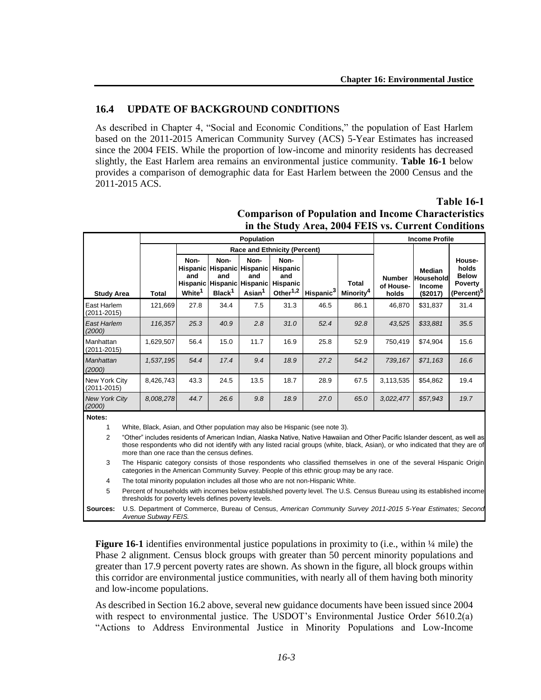### **16.4 UPDATE OF BACKGROUND CONDITIONS**

As described in Chapter 4, "Social and Economic Conditions," the population of East Harlem based on the 2011-2015 American Community Survey (ACS) 5-Year Estimates has increased since the 2004 FEIS. While the proportion of low-income and minority residents has decreased slightly, the East Harlem area remains an environmental justice community. **Table 16-1** below provides a comparison of demographic data for East Harlem between the 2000 Census and the 2011-2015 ACS.

|                                  |                                                                                                                                                                                                                                                                                                              | <b>Population</b>                                                                                                                                                                                                |                                     |                                   |                                                                 |                                                                                        |                       |                                       | <b>Income Profile</b>               |                                                  |                                                                             |  |
|----------------------------------|--------------------------------------------------------------------------------------------------------------------------------------------------------------------------------------------------------------------------------------------------------------------------------------------------------------|------------------------------------------------------------------------------------------------------------------------------------------------------------------------------------------------------------------|-------------------------------------|-----------------------------------|-----------------------------------------------------------------|----------------------------------------------------------------------------------------|-----------------------|---------------------------------------|-------------------------------------|--------------------------------------------------|-----------------------------------------------------------------------------|--|
|                                  |                                                                                                                                                                                                                                                                                                              |                                                                                                                                                                                                                  | <b>Race and Ethnicity (Percent)</b> |                                   |                                                                 |                                                                                        |                       |                                       |                                     |                                                  |                                                                             |  |
| <b>Study Area</b>                |                                                                                                                                                                                                                                                                                                              | <b>Total</b>                                                                                                                                                                                                     | Non-<br>and<br>White <sup>1</sup>   | Non-<br>and<br>Black <sup>1</sup> | Non-<br>and<br>Hispanic Hispanic Hispanic<br>Asian <sup>1</sup> | Non-<br>Hispanic Hispanic Hispanic Hispanic<br>and<br>Hispanic<br>Other <sup>1,2</sup> | Hispanic <sup>3</sup> | <b>Total</b><br>Minority <sup>4</sup> | <b>Number</b><br>of House-<br>holds | <b>Median</b><br>Household<br>Income<br>(\$2017) | House-<br>holds<br><b>Below</b><br><b>Poverty</b><br>(Percent) <sup>5</sup> |  |
| East Harlem<br>$(2011 - 2015)$   |                                                                                                                                                                                                                                                                                                              | 121,669                                                                                                                                                                                                          | 27.8                                | 34.4                              | 7.5                                                             | 31.3                                                                                   | 46.5                  | 86.1                                  | 46,870                              | \$31,837                                         | 31.4                                                                        |  |
| <b>East Harlem</b><br>(2000)     |                                                                                                                                                                                                                                                                                                              | 116,357                                                                                                                                                                                                          | 25.3                                | 40.9                              | 2.8                                                             | 31.0                                                                                   | 52.4                  | 92.8                                  | 43,525                              | \$33,881                                         | 35.5                                                                        |  |
| Manhattan<br>$(2011 - 2015)$     |                                                                                                                                                                                                                                                                                                              | 1,629,507                                                                                                                                                                                                        | 56.4                                | 15.0                              | 11.7                                                            | 16.9                                                                                   | 25.8                  | 52.9                                  | 750,419                             | \$74,904                                         | 15.6                                                                        |  |
| Manhattan<br>(2000)              |                                                                                                                                                                                                                                                                                                              | 1,537,195                                                                                                                                                                                                        | 54.4                                | 17.4                              | 9.4                                                             | 18.9                                                                                   | 27.2                  | 54.2                                  | 739, 167                            | \$71,163                                         | 16.6                                                                        |  |
| New York City<br>$(2011 - 2015)$ |                                                                                                                                                                                                                                                                                                              | 8,426,743                                                                                                                                                                                                        | 43.3                                | 24.5                              | 13.5                                                            | 18.7                                                                                   | 28.9                  | 67.5                                  | 3,113,535                           | \$54,862                                         | 19.4                                                                        |  |
| <b>New York City</b><br>(2000)   |                                                                                                                                                                                                                                                                                                              | 8,008,278                                                                                                                                                                                                        | 44.7                                | 26.6                              | 9.8                                                             | 18.9                                                                                   | 27.0                  | 65.0                                  | 3,022,477                           | \$57,943                                         | 19.7                                                                        |  |
| Notes:<br>1                      |                                                                                                                                                                                                                                                                                                              | White, Black, Asian, and Other population may also be Hispanic (see note 3).                                                                                                                                     |                                     |                                   |                                                                 |                                                                                        |                       |                                       |                                     |                                                  |                                                                             |  |
| 2                                | "Other" includes residents of American Indian, Alaska Native, Native Hawaiian and Other Pacific Islander descent, as well as<br>those respondents who did not identify with any listed racial groups (white, black, Asian), or who indicated that they are of<br>more than one race than the census defines. |                                                                                                                                                                                                                  |                                     |                                   |                                                                 |                                                                                        |                       |                                       |                                     |                                                  |                                                                             |  |
| 3                                |                                                                                                                                                                                                                                                                                                              | The Hispanic category consists of those respondents who classified themselves in one of the several Hispanic Origin<br>categories in the American Community Survey. People of this ethnic group may be any race. |                                     |                                   |                                                                 |                                                                                        |                       |                                       |                                     |                                                  |                                                                             |  |
| 4                                |                                                                                                                                                                                                                                                                                                              | The total minority population includes all those who are not non-Hispanic White.                                                                                                                                 |                                     |                                   |                                                                 |                                                                                        |                       |                                       |                                     |                                                  |                                                                             |  |
| 5                                |                                                                                                                                                                                                                                                                                                              | Percent of households with incomes below established poverty level. The U.S. Census Bureau using its established income<br>thresholds for poverty levels defines poverty levels.                                 |                                     |                                   |                                                                 |                                                                                        |                       |                                       |                                     |                                                  |                                                                             |  |
| Sources:                         |                                                                                                                                                                                                                                                                                                              | U.S. Department of Commerce, Bureau of Census, American Community Survey 2011-2015 5-Year Estimates; Second<br>Avenue Subway FEIS.                                                                               |                                     |                                   |                                                                 |                                                                                        |                       |                                       |                                     |                                                  |                                                                             |  |

### **Table 16-1 Comparison of Population and Income Characteristics in the Study Area, 2004 FEIS vs. Current Conditions**

**Figure 16-1** identifies environmental justice populations in proximity to (i.e., within  $\frac{1}{4}$  mile) the Phase 2 alignment. Census block groups with greater than 50 percent minority populations and greater than 17.9 percent poverty rates are shown. As shown in the figure, all block groups within this corridor are environmental justice communities, with nearly all of them having both minority and low-income populations.

As described in Section 16.2 above, several new guidance documents have been issued since 2004 with respect to environmental justice. The USDOT's Environmental Justice Order 5610.2(a) "Actions to Address Environmental Justice in Minority Populations and Low-Income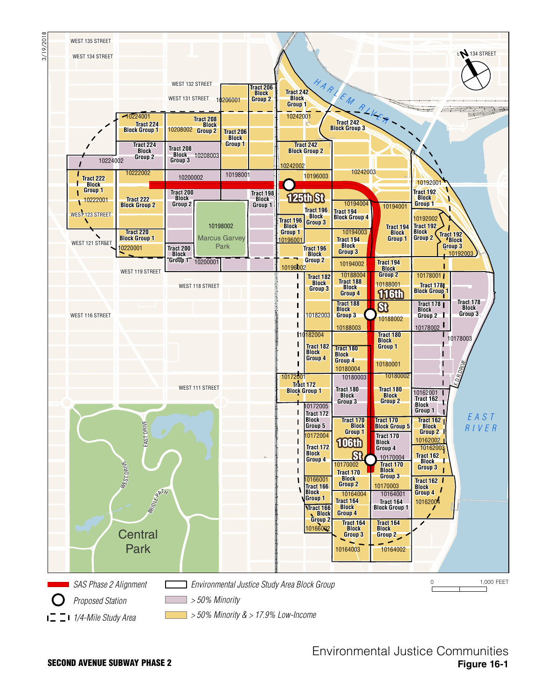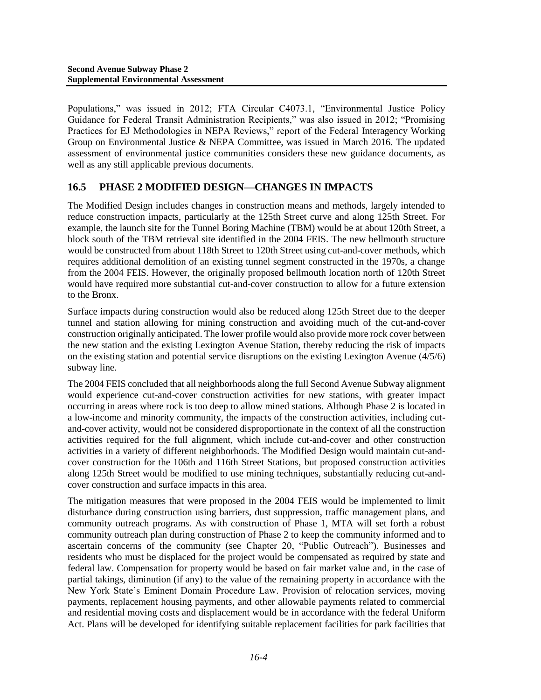Populations," was issued in 2012; FTA Circular C4073.1, "Environmental Justice Policy Guidance for Federal Transit Administration Recipients," was also issued in 2012; "Promising Practices for EJ Methodologies in NEPA Reviews," report of the Federal Interagency Working Group on Environmental Justice & NEPA Committee, was issued in March 2016. The updated assessment of environmental justice communities considers these new guidance documents, as well as any still applicable previous documents.

## **16.5 PHASE 2 MODIFIED DESIGN—CHANGES IN IMPACTS**

The Modified Design includes changes in construction means and methods, largely intended to reduce construction impacts, particularly at the 125th Street curve and along 125th Street. For example, the launch site for the Tunnel Boring Machine (TBM) would be at about 120th Street, a block south of the TBM retrieval site identified in the 2004 FEIS. The new bellmouth structure would be constructed from about 118th Street to 120th Street using cut-and-cover methods, which requires additional demolition of an existing tunnel segment constructed in the 1970s, a change from the 2004 FEIS. However, the originally proposed bellmouth location north of 120th Street would have required more substantial cut-and-cover construction to allow for a future extension to the Bronx.

Surface impacts during construction would also be reduced along 125th Street due to the deeper tunnel and station allowing for mining construction and avoiding much of the cut-and-cover construction originally anticipated. The lower profile would also provide more rock cover between the new station and the existing Lexington Avenue Station, thereby reducing the risk of impacts on the existing station and potential service disruptions on the existing Lexington Avenue (4/5/6) subway line.

The 2004 FEIS concluded that all neighborhoods along the full Second Avenue Subway alignment would experience cut-and-cover construction activities for new stations, with greater impact occurring in areas where rock is too deep to allow mined stations. Although Phase 2 is located in a low-income and minority community, the impacts of the construction activities, including cutand-cover activity, would not be considered disproportionate in the context of all the construction activities required for the full alignment, which include cut-and-cover and other construction activities in a variety of different neighborhoods. The Modified Design would maintain cut-andcover construction for the 106th and 116th Street Stations, but proposed construction activities along 125th Street would be modified to use mining techniques, substantially reducing cut-andcover construction and surface impacts in this area.

The mitigation measures that were proposed in the 2004 FEIS would be implemented to limit disturbance during construction using barriers, dust suppression, traffic management plans, and community outreach programs. As with construction of Phase 1, MTA will set forth a robust community outreach plan during construction of Phase 2 to keep the community informed and to ascertain concerns of the community (see Chapter 20, "Public Outreach"). Businesses and residents who must be displaced for the project would be compensated as required by state and federal law. Compensation for property would be based on fair market value and, in the case of partial takings, diminution (if any) to the value of the remaining property in accordance with the New York State's Eminent Domain Procedure Law. Provision of relocation services, moving payments, replacement housing payments, and other allowable payments related to commercial and residential moving costs and displacement would be in accordance with the federal Uniform Act. Plans will be developed for identifying suitable replacement facilities for park facilities that